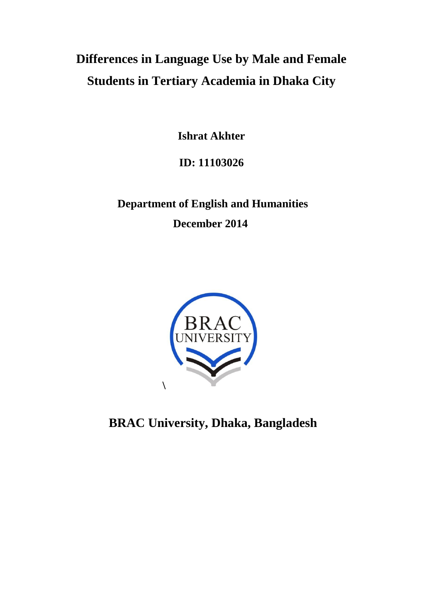# **Differences in Language Use by Male and Female Students in Tertiary Academia in Dhaka City**

**Ishrat Akhter**

# **ID: 11103026**

# **Department of English and Humanities December 2014**



**BRAC University, Dhaka, Bangladesh**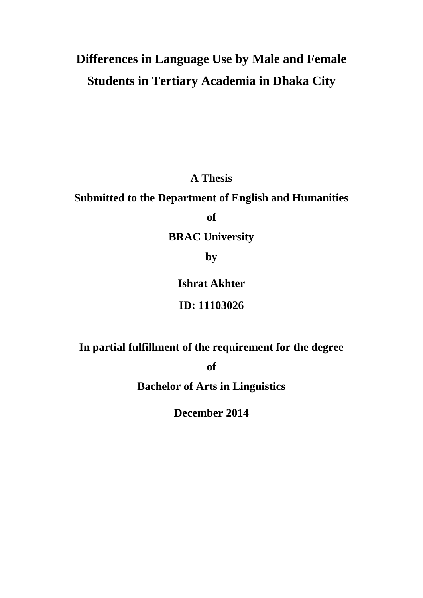# **Differences in Language Use by Male and Female Students in Tertiary Academia in Dhaka City**

**A Thesis** 

### **Submitted to the Department of English and Humanities**

**of** 

## **BRAC University**

**by**

### **Ishrat Akhter**

### **ID: 11103026**

## **In partial fulfillment of the requirement for the degree**

**of** 

## **Bachelor of Arts in Linguistics**

**December 2014**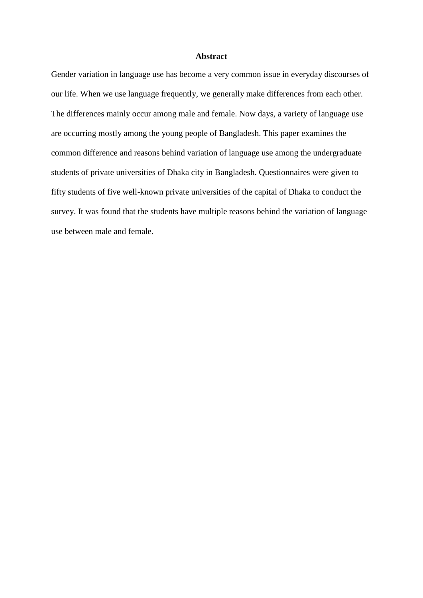#### **Abstract**

Gender variation in language use has become a very common issue in everyday discourses of our life. When we use language frequently, we generally make differences from each other. The differences mainly occur among male and female. Now days, a variety of language use are occurring mostly among the young people of Bangladesh. This paper examines the common difference and reasons behind variation of language use among the undergraduate students of private universities of Dhaka city in Bangladesh. Questionnaires were given to fifty students of five well-known private universities of the capital of Dhaka to conduct the survey. It was found that the students have multiple reasons behind the variation of language use between male and female.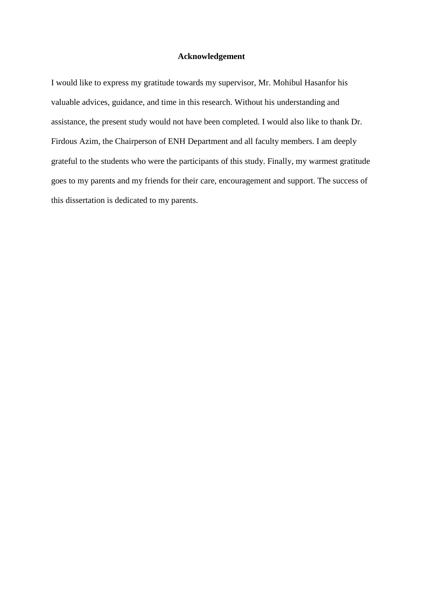#### **Acknowledgement**

I would like to express my gratitude towards my supervisor, Mr. Mohibul Hasanfor his valuable advices, guidance, and time in this research. Without his understanding and assistance, the present study would not have been completed. I would also like to thank Dr. Firdous Azim, the Chairperson of ENH Department and all faculty members. I am deeply grateful to the students who were the participants of this study. Finally, my warmest gratitude goes to my parents and my friends for their care, encouragement and support. The success of this dissertation is dedicated to my parents.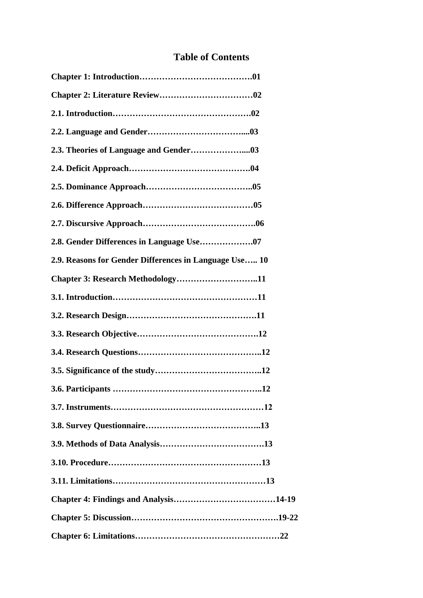### **Table of Contents**

| 2.9. Reasons for Gender Differences in Language Use 10 |
|--------------------------------------------------------|
| Chapter 3: Research Methodology11                      |
|                                                        |
|                                                        |
|                                                        |
|                                                        |
|                                                        |
| 3.6. Participants                                      |
|                                                        |
|                                                        |
|                                                        |
|                                                        |
|                                                        |
|                                                        |
|                                                        |
|                                                        |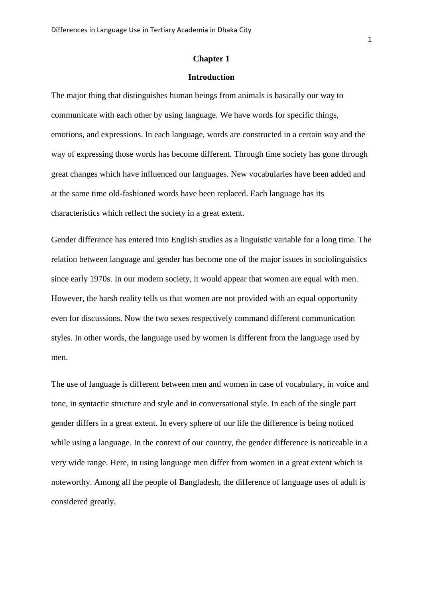#### **Chapter 1**

#### **Introduction**

The major thing that distinguishes human beings from animals is basically our way to communicate with each other by using language. We have words for specific things, emotions, and expressions. In each language, words are constructed in a certain way and the way of expressing those words has become different. Through time society has gone through great changes which have influenced our languages. New vocabularies have been added and at the same time old-fashioned words have been replaced. Each language has its characteristics which reflect the society in a great extent.

Gender difference has entered into English studies as a linguistic variable for a long time. The relation between language and gender has become one of the major issues in sociolinguistics since early 1970s. In our modern society, it would appear that women are equal with men. However, the harsh reality tells us that women are not provided with an equal opportunity even for discussions. Now the two sexes respectively command different communication styles. In other words, the language used by women is different from the language used by men.

The use of language is different between men and women in case of vocabulary, in voice and tone, in syntactic structure and style and in conversational style. In each of the single part gender differs in a great extent. In every sphere of our life the difference is being noticed while using a language. In the context of our country, the gender difference is noticeable in a very wide range. Here, in using language men differ from women in a great extent which is noteworthy. Among all the people of Bangladesh, the difference of language uses of adult is considered greatly.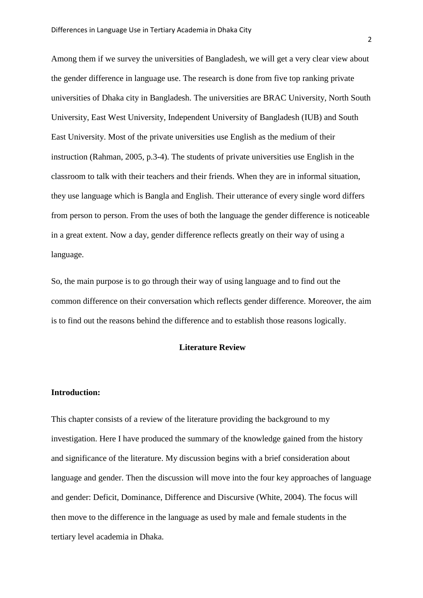Among them if we survey the universities of Bangladesh, we will get a very clear view about the gender difference in language use. The research is done from five top ranking private universities of Dhaka city in Bangladesh. The universities are BRAC University, North South University, East West University, Independent University of Bangladesh (IUB) and South East University. Most of the private universities use English as the medium of their instruction (Rahman, 2005, p.3-4). The students of private universities use English in the classroom to talk with their teachers and their friends. When they are in informal situation, they use language which is Bangla and English. Their utterance of every single word differs from person to person. From the uses of both the language the gender difference is noticeable in a great extent. Now a day, gender difference reflects greatly on their way of using a language.

So, the main purpose is to go through their way of using language and to find out the common difference on their conversation which reflects gender difference. Moreover, the aim is to find out the reasons behind the difference and to establish those reasons logically.

#### **Literature Review**

#### **Introduction:**

This chapter consists of a review of the literature providing the background to my investigation. Here I have produced the summary of the knowledge gained from the history and significance of the literature. My discussion begins with a brief consideration about language and gender. Then the discussion will move into the four key approaches of language and gender: Deficit, Dominance, Difference and Discursive (White, 2004). The focus will then move to the difference in the language as used by male and female students in the tertiary level academia in Dhaka.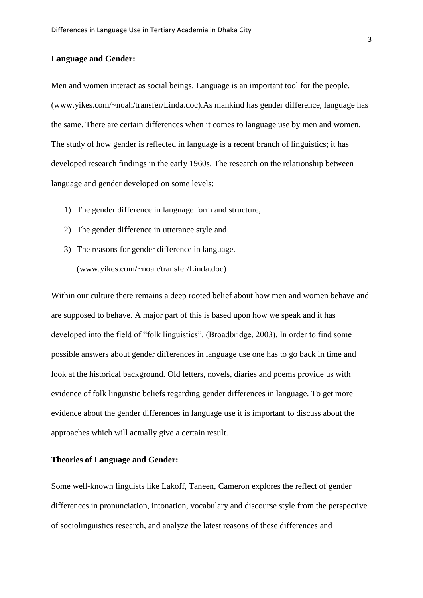#### **Language and Gender:**

Men and women interact as social beings. Language is an important tool for the people. (www.yikes.com/~noah/transfer/Linda.doc).As mankind has gender difference, language has the same. There are certain differences when it comes to language use by men and women. The study of how gender is reflected in language is a recent branch of linguistics; it has developed research findings in the early 1960s. The research on the relationship between language and gender developed on some levels:

- 1) The gender difference in language form and structure,
- 2) The gender difference in utterance style and
- 3) The reasons for gender difference in language. (www.yikes.com/~noah/transfer/Linda.doc)

Within our culture there remains a deep rooted belief about how men and women behave and are supposed to behave. A major part of this is based upon how we speak and it has developed into the field of "folk linguistics". (Broadbridge, 2003). In order to find some possible answers about gender differences in language use one has to go back in time and look at the historical background. Old letters, novels, diaries and poems provide us with evidence of folk linguistic beliefs regarding gender differences in language. To get more evidence about the gender differences in language use it is important to discuss about the approaches which will actually give a certain result.

#### **Theories of Language and Gender:**

Some well-known linguists like Lakoff, Taneen, Cameron explores the reflect of gender differences in pronunciation, intonation, vocabulary and discourse style from the perspective of sociolinguistics research, and analyze the latest reasons of these differences and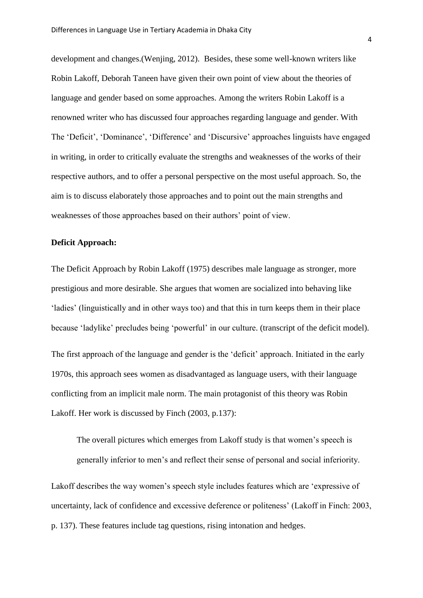development and changes.(Wenjing, 2012). Besides, these some well-known writers like Robin Lakoff, Deborah Taneen have given their own point of view about the theories of language and gender based on some approaches. Among the writers Robin Lakoff is a renowned writer who has discussed four approaches regarding language and gender. With The "Deficit", "Dominance", "Difference" and "Discursive" approaches linguists have engaged in writing, in order to critically evaluate the strengths and weaknesses of the works of their respective authors, and to offer a personal perspective on the most useful approach. So, the aim is to discuss elaborately those approaches and to point out the main strengths and weaknesses of those approaches based on their authors' point of view.

#### **Deficit Approach:**

The Deficit Approach by Robin Lakoff (1975) describes male language as stronger, more prestigious and more desirable. She argues that women are socialized into behaving like "ladies" (linguistically and in other ways too) and that this in turn keeps them in their place because "ladylike" precludes being "powerful" in our culture. (transcript of the deficit model). The first approach of the language and gender is the 'deficit' approach. Initiated in the early 1970s, this approach sees women as disadvantaged as language users, with their language conflicting from an implicit male norm. The main protagonist of this theory was Robin

Lakoff. Her work is discussed by Finch (2003, p.137):

The overall pictures which emerges from Lakoff study is that women's speech is generally inferior to men"s and reflect their sense of personal and social inferiority.

Lakoff describes the way women's speech style includes features which are 'expressive of uncertainty, lack of confidence and excessive deference or politeness" (Lakoff in Finch: 2003, p. 137). These features include tag questions, rising intonation and hedges.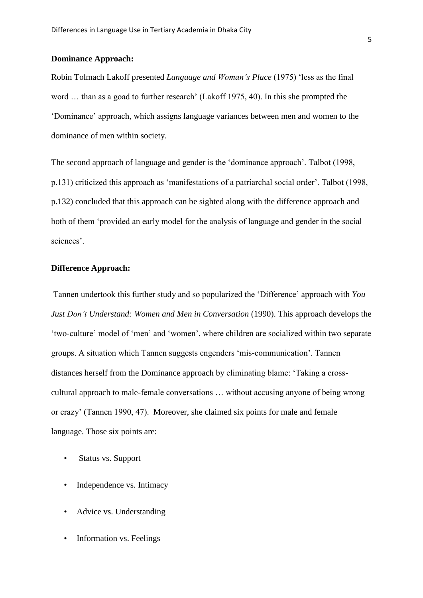#### **Dominance Approach:**

Robin Tolmach Lakoff presented *Language and Woman's Place* (1975) "less as the final word ... than as a goad to further research' (Lakoff 1975, 40). In this she prompted the "Dominance" approach, which assigns language variances between men and women to the dominance of men within society.

The second approach of language and gender is the 'dominance approach'. Talbot (1998, p.131) criticized this approach as 'manifestations of a patriarchal social order'. Talbot (1998, p.132) concluded that this approach can be sighted along with the difference approach and both of them "provided an early model for the analysis of language and gender in the social sciences'.

#### **Difference Approach:**

Tannen undertook this further study and so popularized the "Difference" approach with *You Just Don't Understand: Women and Men in Conversation* (1990). This approach develops the "two-culture" model of "men" and "women", where children are socialized within two separate groups. A situation which Tannen suggests engenders "mis-communication". Tannen distances herself from the Dominance approach by eliminating blame: "Taking a crosscultural approach to male-female conversations … without accusing anyone of being wrong or crazy" (Tannen 1990, 47). Moreover, she claimed six points for male and female language. Those six points are:

- Status vs. Support
- Independence vs. Intimacy
- Advice vs. Understanding
- Information vs. Feelings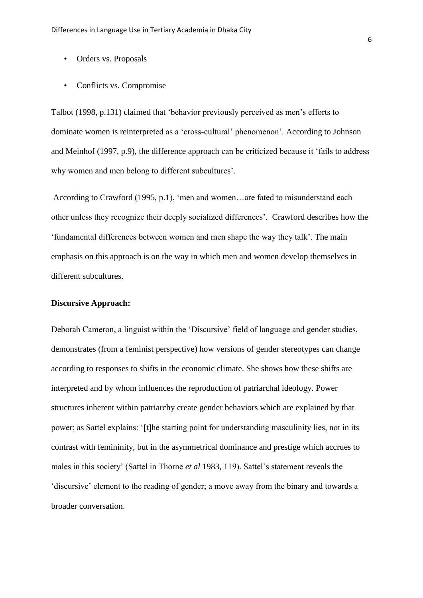- Orders vs. Proposals
- Conflicts vs. Compromise

Talbot (1998, p.131) claimed that "behavior previously perceived as men"s efforts to dominate women is reinterpreted as a "cross-cultural" phenomenon". According to Johnson and Meinhof (1997, p.9), the difference approach can be criticized because it "fails to address why women and men belong to different subcultures'.

According to Crawford (1995, p.1), "men and women…are fated to misunderstand each other unless they recognize their deeply socialized differences". Crawford describes how the "fundamental differences between women and men shape the way they talk". The main emphasis on this approach is on the way in which men and women develop themselves in different subcultures.

#### **Discursive Approach:**

Deborah Cameron, a linguist within the 'Discursive' field of language and gender studies, demonstrates (from a feminist perspective) how versions of gender stereotypes can change according to responses to shifts in the economic climate. She shows how these shifts are interpreted and by whom influences the reproduction of patriarchal ideology. Power structures inherent within patriarchy create gender behaviors which are explained by that power; as Sattel explains: "[t]he starting point for understanding masculinity lies, not in its contrast with femininity, but in the asymmetrical dominance and prestige which accrues to males in this society" (Sattel in Thorne *et al* 1983, 119). Sattel"s statement reveals the "discursive" element to the reading of gender; a move away from the binary and towards a broader conversation.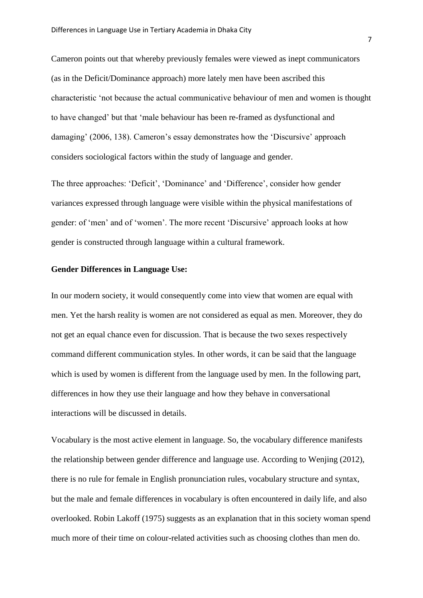Cameron points out that whereby previously females were viewed as inept communicators (as in the Deficit/Dominance approach) more lately men have been ascribed this characteristic "not because the actual communicative behaviour of men and women is thought to have changed" but that "male behaviour has been re-framed as dysfunctional and damaging' (2006, 138). Cameron's essay demonstrates how the 'Discursive' approach considers sociological factors within the study of language and gender.

The three approaches: "Deficit", "Dominance" and "Difference", consider how gender variances expressed through language were visible within the physical manifestations of gender: of "men" and of "women". The more recent "Discursive" approach looks at how gender is constructed through language within a cultural framework.

#### **Gender Differences in Language Use:**

In our modern society, it would consequently come into view that women are equal with men. Yet the harsh reality is women are not considered as equal as men. Moreover, they do not get an equal chance even for discussion. That is because the two sexes respectively command different communication styles. In other words, it can be said that the language which is used by women is different from the language used by men. In the following part, differences in how they use their language and how they behave in conversational interactions will be discussed in details.

Vocabulary is the most active element in language. So, the vocabulary difference manifests the relationship between gender difference and language use. According to Wenjing (2012), there is no rule for female in English pronunciation rules, vocabulary structure and syntax, but the male and female differences in vocabulary is often encountered in daily life, and also overlooked. Robin Lakoff (1975) suggests as an explanation that in this society woman spend much more of their time on colour-related activities such as choosing clothes than men do.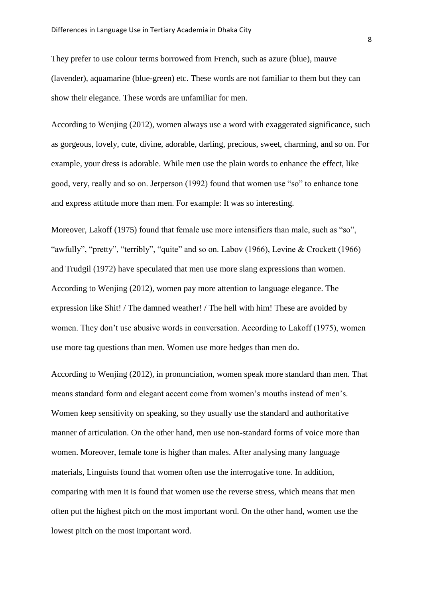They prefer to use colour terms borrowed from French, such as azure (blue), mauve (lavender), aquamarine (blue-green) etc. These words are not familiar to them but they can show their elegance. These words are unfamiliar for men.

According to Wenjing (2012), women always use a word with exaggerated significance, such as gorgeous, lovely, cute, divine, adorable, darling, precious, sweet, charming, and so on. For example, your dress is adorable. While men use the plain words to enhance the effect, like good, very, really and so on. Jerperson (1992) found that women use "so" to enhance tone and express attitude more than men. For example: It was so interesting.

Moreover, Lakoff (1975) found that female use more intensifiers than male, such as "so", "awfully", "pretty", "terribly", "quite" and so on. Labov (1966), Levine & Crockett (1966) and Trudgil (1972) have speculated that men use more slang expressions than women. According to Wenjing (2012), women pay more attention to language elegance. The expression like Shit! / The damned weather! / The hell with him! These are avoided by women. They don't use abusive words in conversation. According to Lakoff (1975), women use more tag questions than men. Women use more hedges than men do.

According to Wenjing (2012), in pronunciation, women speak more standard than men. That means standard form and elegant accent come from women"s mouths instead of men"s. Women keep sensitivity on speaking, so they usually use the standard and authoritative manner of articulation. On the other hand, men use non-standard forms of voice more than women. Moreover, female tone is higher than males. After analysing many language materials, Linguists found that women often use the interrogative tone. In addition, comparing with men it is found that women use the reverse stress, which means that men often put the highest pitch on the most important word. On the other hand, women use the lowest pitch on the most important word.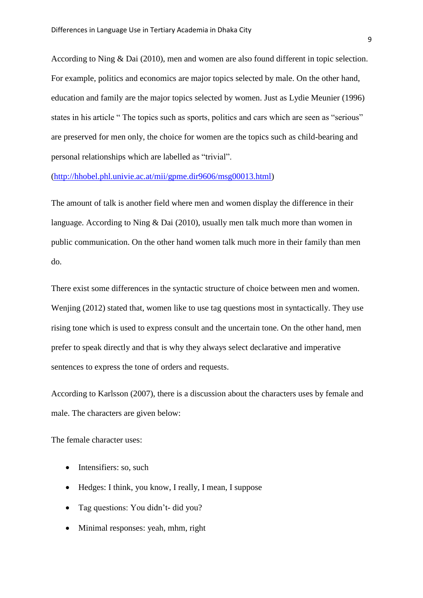According to Ning & Dai (2010), men and women are also found different in topic selection. For example, politics and economics are major topics selected by male. On the other hand, education and family are the major topics selected by women. Just as Lydie Meunier (1996) states in his article " The topics such as sports, politics and cars which are seen as "serious" are preserved for men only, the choice for women are the topics such as child-bearing and personal relationships which are labelled as "trivial".

[\(http://hhobel.phl.univie.ac.at/mii/gpme.dir9606/msg00013.html\)](http://hhobel.phl.univie.ac.at/mii/gpme.dir9606/msg00013.html)

The amount of talk is another field where men and women display the difference in their language. According to Ning & Dai (2010), usually men talk much more than women in public communication. On the other hand women talk much more in their family than men do.

There exist some differences in the syntactic structure of choice between men and women. Wenjing (2012) stated that, women like to use tag questions most in syntactically. They use rising tone which is used to express consult and the uncertain tone. On the other hand, men prefer to speak directly and that is why they always select declarative and imperative sentences to express the tone of orders and requests.

According to Karlsson (2007), there is a discussion about the characters uses by female and male. The characters are given below:

The female character uses:

- Intensifiers: so, such
- Hedges: I think, you know, I really, I mean, I suppose
- Tag questions: You didn"t- did you?
- Minimal responses: yeah, mhm, right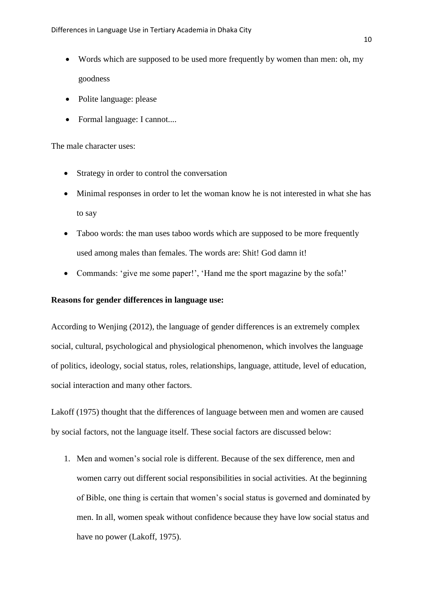- Words which are supposed to be used more frequently by women than men: oh, my goodness
- Polite language: please
- Formal language: I cannot....

#### The male character uses:

- Strategy in order to control the conversation
- Minimal responses in order to let the woman know he is not interested in what she has to say
- Taboo words: the man uses taboo words which are supposed to be more frequently used among males than females. The words are: Shit! God damn it!
- Commands: 'give me some paper!', 'Hand me the sport magazine by the sofa!'

#### **Reasons for gender differences in language use:**

According to Wenjing (2012), the language of gender differences is an extremely complex social, cultural, psychological and physiological phenomenon, which involves the language of politics, ideology, social status, roles, relationships, language, attitude, level of education, social interaction and many other factors.

Lakoff (1975) thought that the differences of language between men and women are caused by social factors, not the language itself. These social factors are discussed below:

1. Men and women"s social role is different. Because of the sex difference, men and women carry out different social responsibilities in social activities. At the beginning of Bible, one thing is certain that women"s social status is governed and dominated by men. In all, women speak without confidence because they have low social status and have no power (Lakoff, 1975).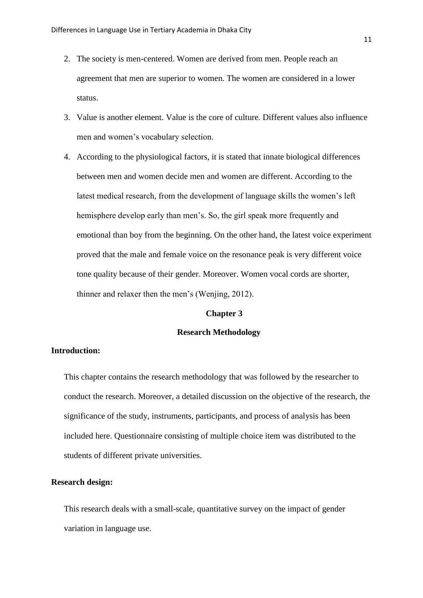- 2. The society is men-centered. Women are derived from men. People reach an agreement that men are superior to women. The women are considered in a lower status.
- 3. Value is another element. Value is the core of culture. Different values also influence men and women"s vocabulary selection.
- 4. According to the physiological factors, it is stated that innate biological differences between men and women decide men and women are different. According to the latest medical research, from the development of language skills the women"s left hemisphere develop early than men's. So, the girl speak more frequently and emotional than boy from the beginning. On the other hand, the latest voice experiment proved that the male and female voice on the resonance peak is very different voice tone quality because of their gender. Moreover. Women vocal cords are shorter, thinner and relaxer then the men"s (Wenjing, 2012).

#### **Chapter 3**

#### **Research Methodology**

#### **Introduction:**

This chapter contains the research methodology that was followed by the researcher to conduct the research. Moreover, a detailed discussion on the objective of the research, the significance of the study, instruments, participants, and process of analysis has been included here. Questionnaire consisting of multiple choice item was distributed to the students of different private universities.

#### **Research design:**

This research deals with a small-scale, quantitative survey on the impact of gender variation in language use.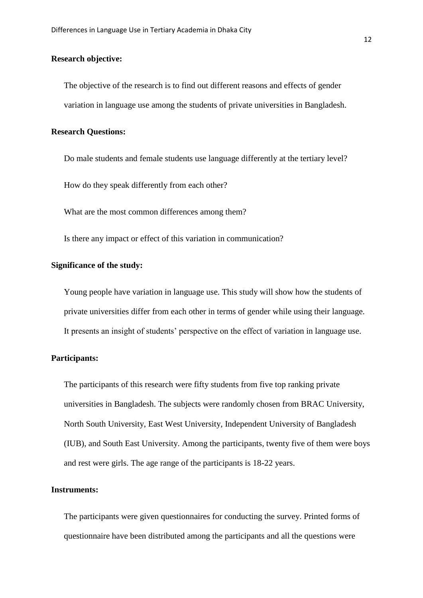#### **Research objective:**

The objective of the research is to find out different reasons and effects of gender variation in language use among the students of private universities in Bangladesh.

#### **Research Questions:**

Do male students and female students use language differently at the tertiary level?

How do they speak differently from each other?

What are the most common differences among them?

Is there any impact or effect of this variation in communication?

#### **Significance of the study:**

Young people have variation in language use. This study will show how the students of private universities differ from each other in terms of gender while using their language. It presents an insight of students' perspective on the effect of variation in language use.

#### **Participants:**

The participants of this research were fifty students from five top ranking private universities in Bangladesh. The subjects were randomly chosen from BRAC University, North South University, East West University, Independent University of Bangladesh (IUB), and South East University. Among the participants, twenty five of them were boys and rest were girls. The age range of the participants is 18-22 years.

#### **Instruments:**

The participants were given questionnaires for conducting the survey. Printed forms of questionnaire have been distributed among the participants and all the questions were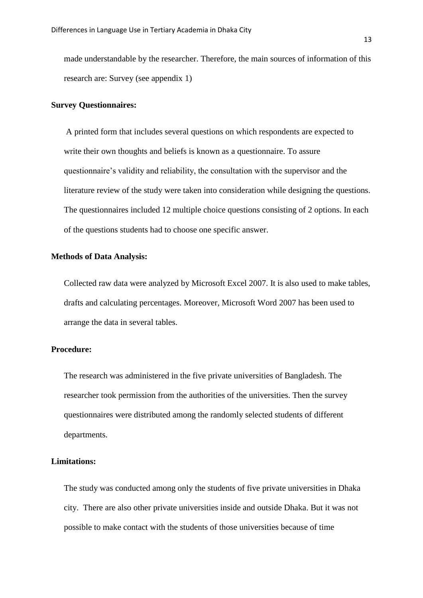made understandable by the researcher. Therefore, the main sources of information of this research are: Survey (see appendix 1)

#### **Survey Questionnaires:**

A printed form that includes several questions on which respondents are expected to write their own thoughts and beliefs is known as a questionnaire. To assure questionnaire"s validity and reliability, the consultation with the supervisor and the literature review of the study were taken into consideration while designing the questions. The questionnaires included 12 multiple choice questions consisting of 2 options. In each of the questions students had to choose one specific answer.

#### **Methods of Data Analysis:**

Collected raw data were analyzed by Microsoft Excel 2007. It is also used to make tables, drafts and calculating percentages. Moreover, Microsoft Word 2007 has been used to arrange the data in several tables.

#### **Procedure:**

The research was administered in the five private universities of Bangladesh. The researcher took permission from the authorities of the universities. Then the survey questionnaires were distributed among the randomly selected students of different departments.

#### **Limitations:**

The study was conducted among only the students of five private universities in Dhaka city. There are also other private universities inside and outside Dhaka. But it was not possible to make contact with the students of those universities because of time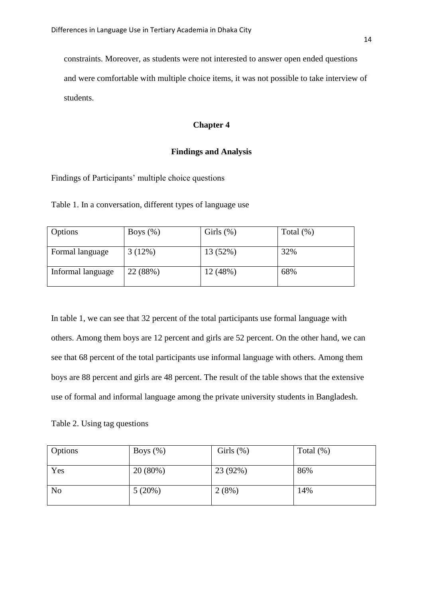constraints. Moreover, as students were not interested to answer open ended questions and were comfortable with multiple choice items, it was not possible to take interview of students.

#### **Chapter 4**

#### **Findings and Analysis**

Findings of Participants' multiple choice questions

Table 1. In a conversation, different types of language use

| Options           | Boys $(\%)$ | Girls $(\%)$ | Total $(\%)$ |
|-------------------|-------------|--------------|--------------|
| Formal language   | 3(12%)      | 13 (52%)     | 32%          |
| Informal language | 22 (88%)    | 12(48%)      | 68%          |

In table 1, we can see that 32 percent of the total participants use formal language with others. Among them boys are 12 percent and girls are 52 percent. On the other hand, we can see that 68 percent of the total participants use informal language with others. Among them boys are 88 percent and girls are 48 percent. The result of the table shows that the extensive use of formal and informal language among the private university students in Bangladesh.

Table 2. Using tag questions

| Options        | Boys $(\%)$ | Girls $(\%)$ | Total $(\%)$ |
|----------------|-------------|--------------|--------------|
| Yes            | 20(80%)     | 23 (92%)     | 86%          |
| N <sub>o</sub> | 5(20%)      | 2(8%)        | 14%          |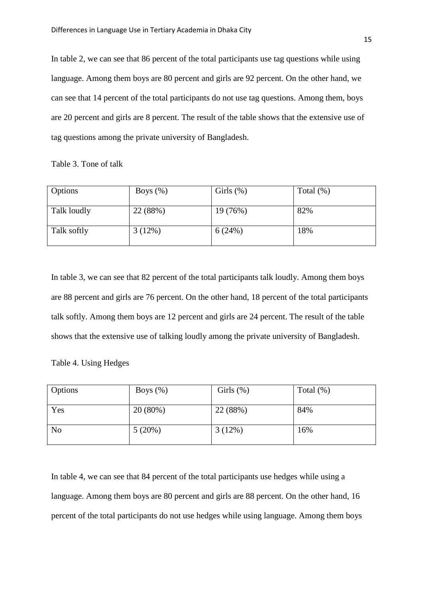In table 2, we can see that 86 percent of the total participants use tag questions while using language. Among them boys are 80 percent and girls are 92 percent. On the other hand, we can see that 14 percent of the total participants do not use tag questions. Among them, boys are 20 percent and girls are 8 percent. The result of the table shows that the extensive use of tag questions among the private university of Bangladesh.

Table 3. Tone of talk

| Options     | Boys $(\%)$ | Girls $(\%)$ | Total $(\%)$ |
|-------------|-------------|--------------|--------------|
| Talk loudly | 22 (88%)    | 19 (76%)     | 82%          |
| Talk softly | 3(12%)      | 6(24%)       | 18%          |

In table 3, we can see that 82 percent of the total participants talk loudly. Among them boys are 88 percent and girls are 76 percent. On the other hand, 18 percent of the total participants talk softly. Among them boys are 12 percent and girls are 24 percent. The result of the table shows that the extensive use of talking loudly among the private university of Bangladesh.

Table 4. Using Hedges

| Options        | Boys $(\%)$ | Girls $(\%)$ | Total $(\%)$ |
|----------------|-------------|--------------|--------------|
| Yes            | 20 (80%)    | 22 (88%)     | 84%          |
| N <sub>o</sub> | 5(20%)      | 3(12%)       | 16%          |

In table 4, we can see that 84 percent of the total participants use hedges while using a language. Among them boys are 80 percent and girls are 88 percent. On the other hand, 16 percent of the total participants do not use hedges while using language. Among them boys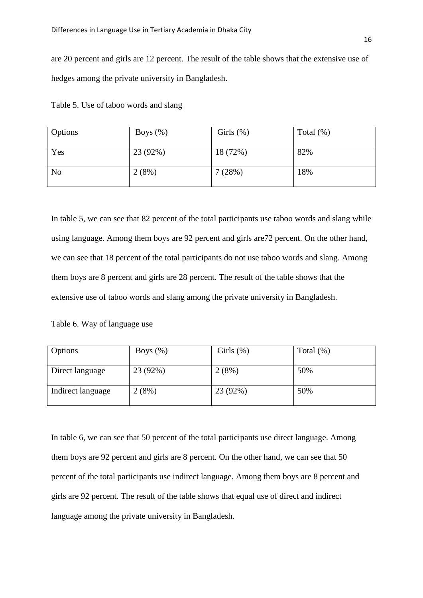are 20 percent and girls are 12 percent. The result of the table shows that the extensive use of hedges among the private university in Bangladesh.

| Table 5. Use of taboo words and slang |  |  |
|---------------------------------------|--|--|
|---------------------------------------|--|--|

| Options        | Boys $(\%)$ | Girls $(\%)$ | Total $(\%)$ |
|----------------|-------------|--------------|--------------|
| Yes            | 23 (92%)    | 18 (72%)     | 82%          |
| N <sub>o</sub> | 2(8%)       | 7(28%)       | 18%          |

In table 5, we can see that 82 percent of the total participants use taboo words and slang while using language. Among them boys are 92 percent and girls are72 percent. On the other hand, we can see that 18 percent of the total participants do not use taboo words and slang. Among them boys are 8 percent and girls are 28 percent. The result of the table shows that the extensive use of taboo words and slang among the private university in Bangladesh.

Table 6. Way of language use

| Options           | Boys $(\%)$ | Girls $(\%)$ | Total $(\%)$ |
|-------------------|-------------|--------------|--------------|
|                   |             |              |              |
| Direct language   | 23 (92%)    | 2(8%)        | 50%          |
| Indirect language | 2(8%)       | 23 (92%)     | 50%          |

In table 6, we can see that 50 percent of the total participants use direct language. Among them boys are 92 percent and girls are 8 percent. On the other hand, we can see that 50 percent of the total participants use indirect language. Among them boys are 8 percent and girls are 92 percent. The result of the table shows that equal use of direct and indirect language among the private university in Bangladesh.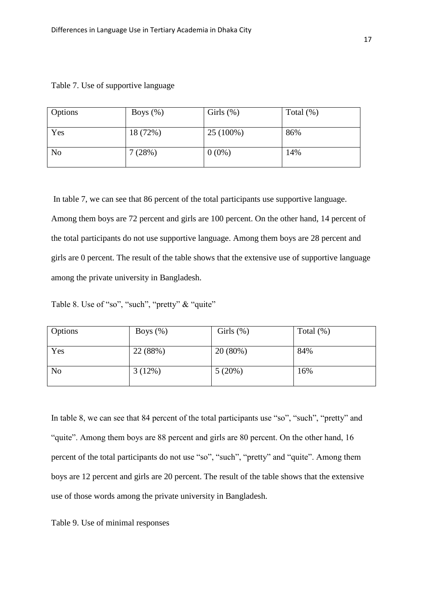| Options        | Boys $(\% )$ | Girls $(\%)$ | Total $(\%)$ |
|----------------|--------------|--------------|--------------|
| Yes            | 18 (72%)     | $25(100\%)$  | 86%          |
| N <sub>0</sub> | 7(28%)       | $0(0\%)$     | 14%          |

Table 7. Use of supportive language

In table 7, we can see that 86 percent of the total participants use supportive language. Among them boys are 72 percent and girls are 100 percent. On the other hand, 14 percent of the total participants do not use supportive language. Among them boys are 28 percent and girls are 0 percent. The result of the table shows that the extensive use of supportive language among the private university in Bangladesh.

Table 8. Use of "so", "such", "pretty" & "quite"

| Options        | Boys $(\%)$ | Girls $(\%)$ | Total $(\%)$ |
|----------------|-------------|--------------|--------------|
| Yes            | 22 (88%)    | $20(80\%)$   | 84%          |
| N <sub>o</sub> | 3(12%)      | 5(20%)       | 16%          |

In table 8, we can see that 84 percent of the total participants use "so", "such", "pretty" and "quite". Among them boys are 88 percent and girls are 80 percent. On the other hand, 16 percent of the total participants do not use "so", "such", "pretty" and "quite". Among them boys are 12 percent and girls are 20 percent. The result of the table shows that the extensive use of those words among the private university in Bangladesh.

Table 9. Use of minimal responses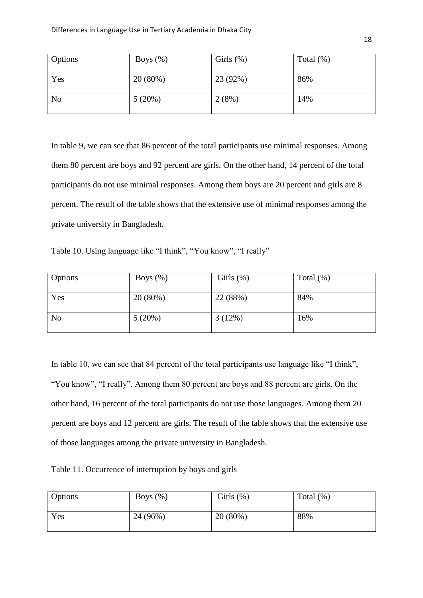| Options        | Boys $(\%)$ | Girls $(\%)$ | Total $(\%)$ |
|----------------|-------------|--------------|--------------|
| Yes            | 20(80%)     | 23 (92%)     | 86%          |
| N <sub>o</sub> | 5(20%)      | 2(8%)        | 14%          |

In table 9, we can see that 86 percent of the total participants use minimal responses. Among them 80 percent are boys and 92 percent are girls. On the other hand, 14 percent of the total participants do not use minimal responses. Among them boys are 20 percent and girls are 8 percent. The result of the table shows that the extensive use of minimal responses among the private university in Bangladesh.

Table 10. Using language like "I think", "You know", "I really"

| Options        | Boys $(\%)$ | Girls $(\%)$ | Total $(\%)$ |
|----------------|-------------|--------------|--------------|
| Yes            | 20 (80%)    | 22 (88%)     | 84%          |
| N <sub>o</sub> | 5(20%)      | 3(12%)       | 16%          |

In table 10, we can see that 84 percent of the total participants use language like "I think", "You know", "I really". Among them 80 percent are boys and 88 percent are girls. On the other hand, 16 percent of the total participants do not use those languages. Among them 20 percent are boys and 12 percent are girls. The result of the table shows that the extensive use of those languages among the private university in Bangladesh.

Table 11. Occurrence of interruption by boys and girls

| Options | Boys $(\%)$ | Girls $(\%)$ | Total $(\%)$ |
|---------|-------------|--------------|--------------|
| Yes     | 24 (96%)    | 20(80%)      | 88%          |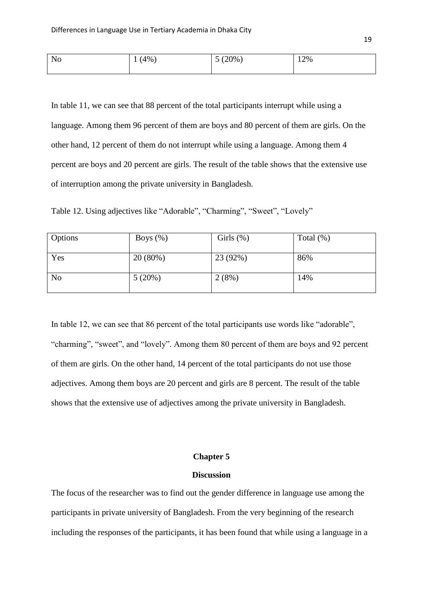| N <sub>o</sub> | $(4\%)$<br>- | $(20\%$<br>$\overline{\phantom{0}}$<br>ັ | 12% |
|----------------|--------------|------------------------------------------|-----|
|                |              |                                          |     |

In table 11, we can see that 88 percent of the total participants interrupt while using a language. Among them 96 percent of them are boys and 80 percent of them are girls. On the other hand, 12 percent of them do not interrupt while using a language. Among them 4 percent are boys and 20 percent are girls. The result of the table shows that the extensive use of interruption among the private university in Bangladesh.

|  |  | Table 12. Using adjectives like "Adorable", "Charming", "Sweet", "Lovely" |  |
|--|--|---------------------------------------------------------------------------|--|
|  |  |                                                                           |  |

| Options        | Boys $(\%)$ | Girls $(\%)$ | Total $(\%)$ |
|----------------|-------------|--------------|--------------|
| Yes            | 20(80%)     | 23 (92%)     | 86%          |
| N <sub>o</sub> | 5(20%)      | 2(8%)        | 14%          |

In table 12, we can see that 86 percent of the total participants use words like "adorable", "charming", "sweet", and "lovely". Among them 80 percent of them are boys and 92 percent of them are girls. On the other hand, 14 percent of the total participants do not use those adjectives. Among them boys are 20 percent and girls are 8 percent. The result of the table shows that the extensive use of adjectives among the private university in Bangladesh.

#### **Chapter 5**

#### **Discussion**

The focus of the researcher was to find out the gender difference in language use among the participants in private university of Bangladesh. From the very beginning of the research including the responses of the participants, it has been found that while using a language in a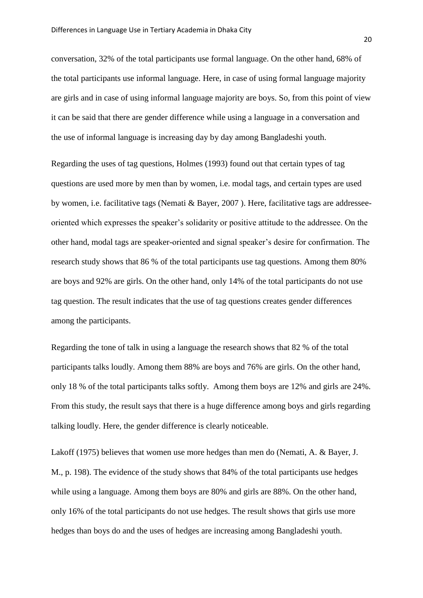conversation, 32% of the total participants use formal language. On the other hand, 68% of the total participants use informal language. Here, in case of using formal language majority are girls and in case of using informal language majority are boys. So, from this point of view it can be said that there are gender difference while using a language in a conversation and the use of informal language is increasing day by day among Bangladeshi youth.

Regarding the uses of tag questions, Holmes (1993) found out that certain types of tag questions are used more by men than by women, i.e. modal tags, and certain types are used by women, i.e. facilitative tags (Nemati & Bayer, 2007 ). Here, facilitative tags are addresseeoriented which expresses the speaker"s solidarity or positive attitude to the addressee. On the other hand, modal tags are speaker-oriented and signal speaker"s desire for confirmation. The research study shows that 86 % of the total participants use tag questions. Among them 80% are boys and 92% are girls. On the other hand, only 14% of the total participants do not use tag question. The result indicates that the use of tag questions creates gender differences among the participants.

Regarding the tone of talk in using a language the research shows that 82 % of the total participants talks loudly. Among them 88% are boys and 76% are girls. On the other hand, only 18 % of the total participants talks softly. Among them boys are 12% and girls are 24%. From this study, the result says that there is a huge difference among boys and girls regarding talking loudly. Here, the gender difference is clearly noticeable.

Lakoff (1975) believes that women use more hedges than men do (Nemati, A. & Bayer, J. M., p. 198). The evidence of the study shows that 84% of the total participants use hedges while using a language. Among them boys are 80% and girls are 88%. On the other hand, only 16% of the total participants do not use hedges. The result shows that girls use more hedges than boys do and the uses of hedges are increasing among Bangladeshi youth.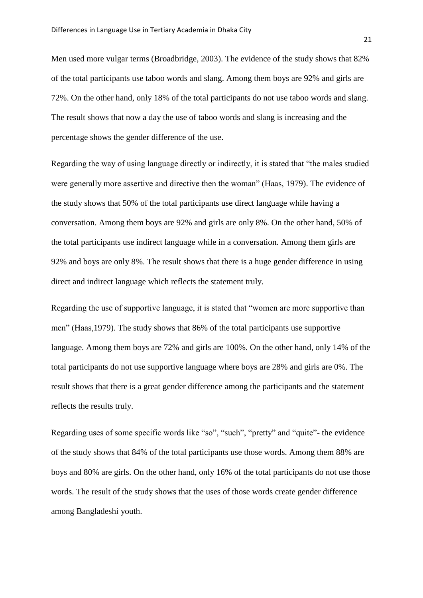Men used more vulgar terms (Broadbridge, 2003). The evidence of the study shows that 82% of the total participants use taboo words and slang. Among them boys are 92% and girls are 72%. On the other hand, only 18% of the total participants do not use taboo words and slang. The result shows that now a day the use of taboo words and slang is increasing and the percentage shows the gender difference of the use.

Regarding the way of using language directly or indirectly, it is stated that "the males studied were generally more assertive and directive then the woman" (Haas, 1979). The evidence of the study shows that 50% of the total participants use direct language while having a conversation. Among them boys are 92% and girls are only 8%. On the other hand, 50% of the total participants use indirect language while in a conversation. Among them girls are 92% and boys are only 8%. The result shows that there is a huge gender difference in using direct and indirect language which reflects the statement truly.

Regarding the use of supportive language, it is stated that "women are more supportive than men" (Haas,1979). The study shows that 86% of the total participants use supportive language. Among them boys are 72% and girls are 100%. On the other hand, only 14% of the total participants do not use supportive language where boys are 28% and girls are 0%. The result shows that there is a great gender difference among the participants and the statement reflects the results truly.

Regarding uses of some specific words like "so", "such", "pretty" and "quite"- the evidence of the study shows that 84% of the total participants use those words. Among them 88% are boys and 80% are girls. On the other hand, only 16% of the total participants do not use those words. The result of the study shows that the uses of those words create gender difference among Bangladeshi youth.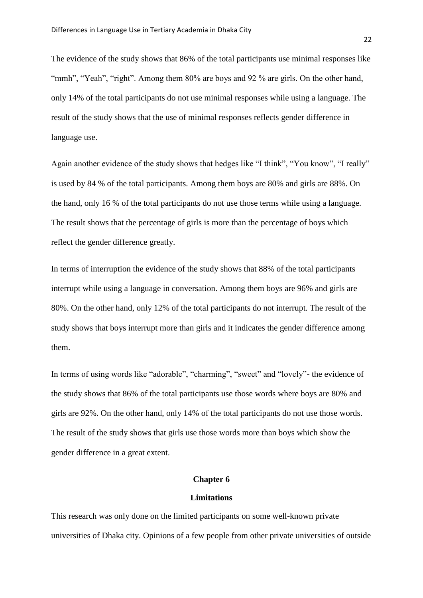The evidence of the study shows that 86% of the total participants use minimal responses like "mmh", "Yeah", "right". Among them 80% are boys and 92 % are girls. On the other hand, only 14% of the total participants do not use minimal responses while using a language. The result of the study shows that the use of minimal responses reflects gender difference in language use.

Again another evidence of the study shows that hedges like "I think", "You know", "I really" is used by 84 % of the total participants. Among them boys are 80% and girls are 88%. On the hand, only 16 % of the total participants do not use those terms while using a language. The result shows that the percentage of girls is more than the percentage of boys which reflect the gender difference greatly.

In terms of interruption the evidence of the study shows that 88% of the total participants interrupt while using a language in conversation. Among them boys are 96% and girls are 80%. On the other hand, only 12% of the total participants do not interrupt. The result of the study shows that boys interrupt more than girls and it indicates the gender difference among them.

In terms of using words like "adorable", "charming", "sweet" and "lovely"- the evidence of the study shows that 86% of the total participants use those words where boys are 80% and girls are 92%. On the other hand, only 14% of the total participants do not use those words. The result of the study shows that girls use those words more than boys which show the gender difference in a great extent.

#### **Chapter 6**

#### **Limitations**

This research was only done on the limited participants on some well-known private universities of Dhaka city. Opinions of a few people from other private universities of outside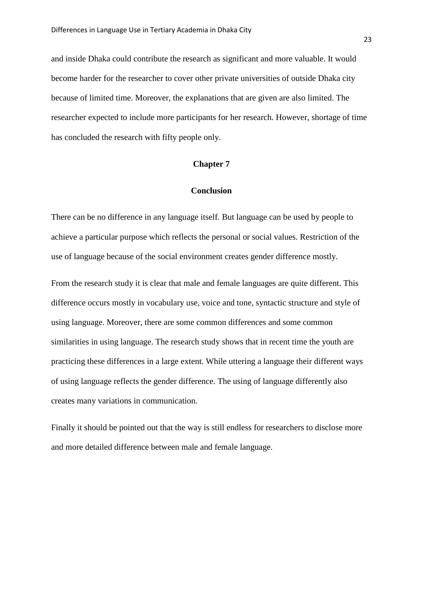and inside Dhaka could contribute the research as significant and more valuable. It would become harder for the researcher to cover other private universities of outside Dhaka city because of limited time. Moreover, the explanations that are given are also limited. The researcher expected to include more participants for her research. However, shortage of time has concluded the research with fifty people only.

#### **Chapter 7**

#### **Conclusion**

There can be no difference in any language itself. But language can be used by people to achieve a particular purpose which reflects the personal or social values. Restriction of the use of language because of the social environment creates gender difference mostly.

From the research study it is clear that male and female languages are quite different. This difference occurs mostly in vocabulary use, voice and tone, syntactic structure and style of using language. Moreover, there are some common differences and some common similarities in using language. The research study shows that in recent time the youth are practicing these differences in a large extent. While uttering a language their different ways of using language reflects the gender difference. The using of language differently also creates many variations in communication.

Finally it should be pointed out that the way is still endless for researchers to disclose more and more detailed difference between male and female language.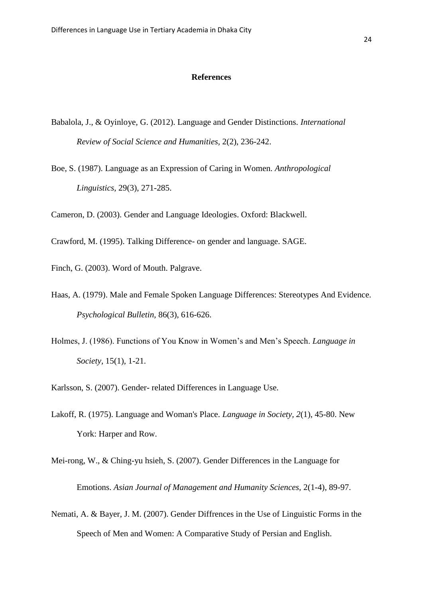#### **References**

- Babalola, J., & Oyinloye, G. (2012). Language and Gender Distinctions. *International Review of Social Science and Humanities,* 2(2), 236-242.
- Boe, S. (1987). Language as an Expression of Caring in Women. *Anthropological Linguistics,* 29(3), 271-285.

Cameron, D. (2003). Gender and Language Ideologies. Oxford: Blackwell.

Crawford, M. (1995). Talking Difference- on gender and language. SAGE.

Finch, G. (2003). Word of Mouth. Palgrave.

- Haas, A. (1979). Male and Female Spoken Language Differences: Stereotypes And Evidence. *Psychological Bulletin,* 86(3), 616-626.
- Holmes, J. (1986). Functions of You Know in Women"s and Men"s Speech. *Language in Society,* 15(1), 1-21.

Karlsson, S. (2007). Gender- related Differences in Language Use.

- Lakoff, R. (1975). Language and Woman's Place. *Language in Society, 2*(1), 45-80. New York: Harper and Row.
- Mei-rong, W., & Ching-yu hsieh, S. (2007). Gender Differences in the Language for Emotions. *Asian Journal of Management and Humanity Sciences,* 2(1-4), 89-97.
- Nemati, A. & Bayer, J. M. (2007). Gender Diffrences in the Use of Linguistic Forms in the Speech of Men and Women: A Comparative Study of Persian and English.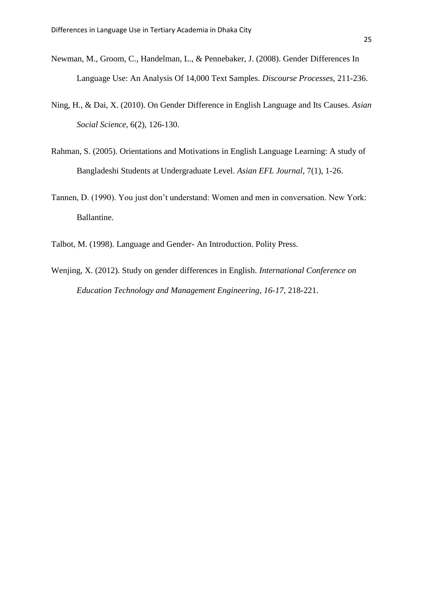- Newman, M., Groom, C., Handelman, L., & Pennebaker, J. (2008). Gender Differences In Language Use: An Analysis Of 14,000 Text Samples. *Discourse Processes,* 211-236.
- Ning, H., & Dai, X. (2010). On Gender Difference in English Language and Its Causes. *Asian Social Science,* 6(2), 126-130.
- Rahman, S. (2005). Orientations and Motivations in English Language Learning: A study of Bangladeshi Students at Undergraduate Level. *Asian EFL Journal,* 7(1), 1-26.
- Tannen, D. (1990). You just don"t understand: Women and men in conversation. New York: Ballantine.
- Talbot, M. (1998). Language and Gender- An Introduction. Polity Press.
- Wenjing, X. (2012). Study on gender differences in English. *International Conference on Education Technology and Management Engineering, 16-17*, 218-221.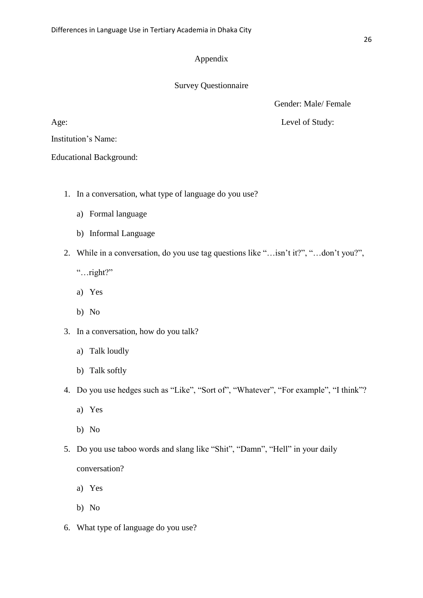### Appendix

#### Survey Questionnaire

Gender: Male/ Female

Age: Level of Study:

Institution"s Name:

Educational Background:

- 1. In a conversation, what type of language do you use?
	- a) Formal language
	- b) Informal Language
- 2. While in a conversation, do you use tag questions like "…isn"t it?", "…don"t you?",
	- "…right?"
	- a) Yes
	- b) No
- 3. In a conversation, how do you talk?
	- a) Talk loudly
	- b) Talk softly
- 4. Do you use hedges such as "Like", "Sort of", "Whatever", "For example", "I think"?
	- a) Yes
	- b) No
- 5. Do you use taboo words and slang like "Shit", "Damn", "Hell" in your daily conversation?
	- a) Yes
	- b) No
- 6. What type of language do you use?